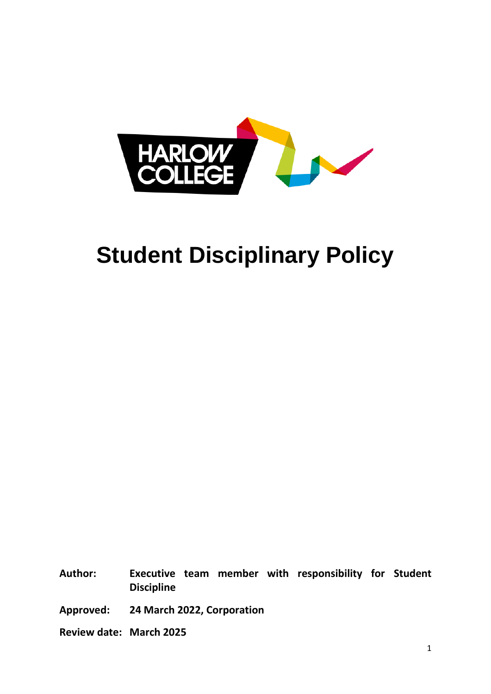

# **Student Disciplinary Policy**

**Author: Executive team member with responsibility for Student Discipline**

**Approved: 24 March 2022, Corporation**

**Review date: March 2025**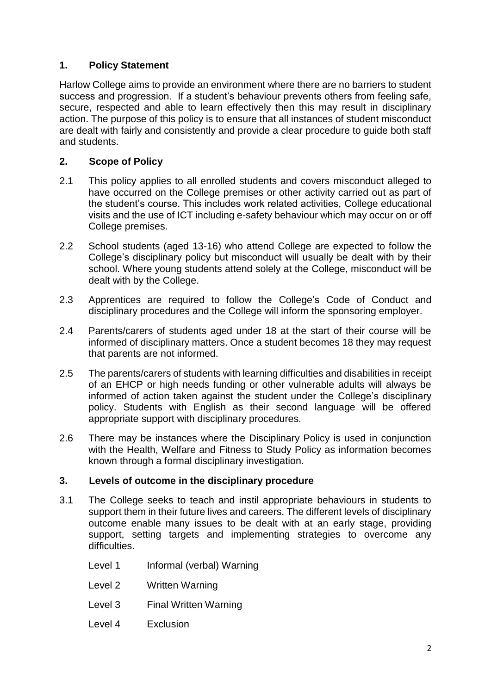## **1. Policy Statement**

Harlow College aims to provide an environment where there are no barriers to student success and progression. If a student's behaviour prevents others from feeling safe, secure, respected and able to learn effectively then this may result in disciplinary action. The purpose of this policy is to ensure that all instances of student misconduct are dealt with fairly and consistently and provide a clear procedure to guide both staff and students.

## **2. Scope of Policy**

- 2.1 This policy applies to all enrolled students and covers misconduct alleged to have occurred on the College premises or other activity carried out as part of the student's course. This includes work related activities, College educational visits and the use of ICT including e-safety behaviour which may occur on or off College premises.
- 2.2 School students (aged 13-16) who attend College are expected to follow the College's disciplinary policy but misconduct will usually be dealt with by their school. Where young students attend solely at the College, misconduct will be dealt with by the College.
- 2.3 Apprentices are required to follow the College's Code of Conduct and disciplinary procedures and the College will inform the sponsoring employer.
- 2.4 Parents/carers of students aged under 18 at the start of their course will be informed of disciplinary matters. Once a student becomes 18 they may request that parents are not informed.
- 2.5 The parents/carers of students with learning difficulties and disabilities in receipt of an EHCP or high needs funding or other vulnerable adults will always be informed of action taken against the student under the College's disciplinary policy. Students with English as their second language will be offered appropriate support with disciplinary procedures.
- 2.6 There may be instances where the Disciplinary Policy is used in conjunction with the Health, Welfare and Fitness to Study Policy as information becomes known through a formal disciplinary investigation.

## **3. Levels of outcome in the disciplinary procedure**

- 3.1 The College seeks to teach and instil appropriate behaviours in students to support them in their future lives and careers. The different levels of disciplinary outcome enable many issues to be dealt with at an early stage, providing support, setting targets and implementing strategies to overcome any difficulties.
	- Level 1 Informal (verbal) Warning
	- Level 2 Written Warning
	- Level 3 Final Written Warning
	- Level 4 Exclusion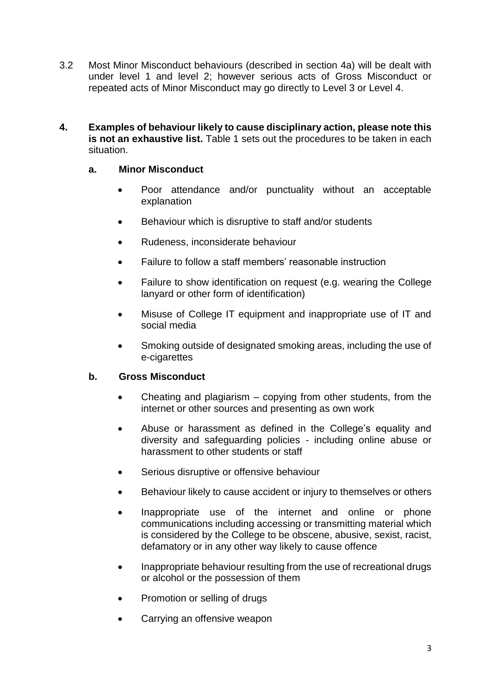- 3.2 Most Minor Misconduct behaviours (described in section 4a) will be dealt with under level 1 and level 2; however serious acts of Gross Misconduct or repeated acts of Minor Misconduct may go directly to Level 3 or Level 4.
- **4. Examples of behaviour likely to cause disciplinary action, please note this is not an exhaustive list.** Table 1 sets out the procedures to be taken in each situation.

#### **a. Minor Misconduct**

- Poor attendance and/or punctuality without an acceptable explanation
- Behaviour which is disruptive to staff and/or students
- Rudeness, inconsiderate behaviour
- Failure to follow a staff members' reasonable instruction
- Failure to show identification on request (e.g. wearing the College lanyard or other form of identification)
- Misuse of College IT equipment and inappropriate use of IT and social media
- Smoking outside of designated smoking areas, including the use of e-cigarettes

## **b. Gross Misconduct**

- Cheating and plagiarism copying from other students, from the internet or other sources and presenting as own work
- Abuse or harassment as defined in the College's equality and diversity and safeguarding policies - including online abuse or harassment to other students or staff
- Serious disruptive or offensive behaviour
- Behaviour likely to cause accident or injury to themselves or others
- Inappropriate use of the internet and online or phone communications including accessing or transmitting material which is considered by the College to be obscene, abusive, sexist, racist, defamatory or in any other way likely to cause offence
- Inappropriate behaviour resulting from the use of recreational drugs or alcohol or the possession of them
- Promotion or selling of drugs
- Carrying an offensive weapon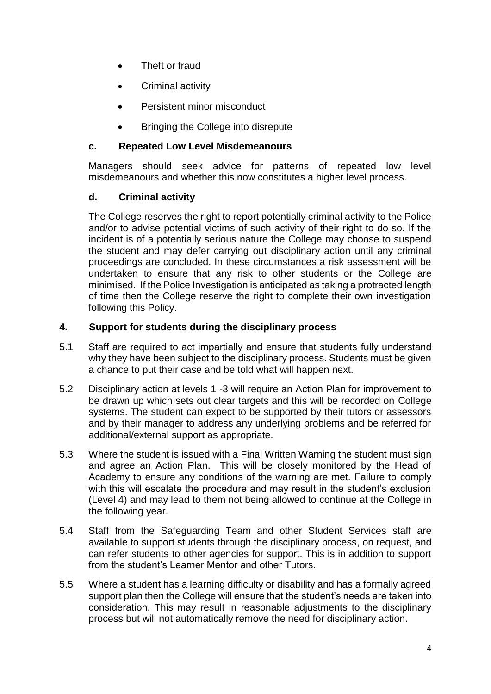- Theft or fraud
- Criminal activity
- Persistent minor misconduct
- Bringing the College into disrepute

## **c. Repeated Low Level Misdemeanours**

Managers should seek advice for patterns of repeated low level misdemeanours and whether this now constitutes a higher level process.

## **d. Criminal activity**

The College reserves the right to report potentially criminal activity to the Police and/or to advise potential victims of such activity of their right to do so. If the incident is of a potentially serious nature the College may choose to suspend the student and may defer carrying out disciplinary action until any criminal proceedings are concluded. In these circumstances a risk assessment will be undertaken to ensure that any risk to other students or the College are minimised. If the Police Investigation is anticipated as taking a protracted length of time then the College reserve the right to complete their own investigation following this Policy.

## **4. Support for students during the disciplinary process**

- 5.1 Staff are required to act impartially and ensure that students fully understand why they have been subject to the disciplinary process. Students must be given a chance to put their case and be told what will happen next.
- 5.2 Disciplinary action at levels 1 -3 will require an Action Plan for improvement to be drawn up which sets out clear targets and this will be recorded on College systems. The student can expect to be supported by their tutors or assessors and by their manager to address any underlying problems and be referred for additional/external support as appropriate.
- 5.3 Where the student is issued with a Final Written Warning the student must sign and agree an Action Plan. This will be closely monitored by the Head of Academy to ensure any conditions of the warning are met. Failure to comply with this will escalate the procedure and may result in the student's exclusion (Level 4) and may lead to them not being allowed to continue at the College in the following year.
- 5.4 Staff from the Safeguarding Team and other Student Services staff are available to support students through the disciplinary process, on request, and can refer students to other agencies for support. This is in addition to support from the student's Learner Mentor and other Tutors.
- 5.5 Where a student has a learning difficulty or disability and has a formally agreed support plan then the College will ensure that the student's needs are taken into consideration. This may result in reasonable adjustments to the disciplinary process but will not automatically remove the need for disciplinary action.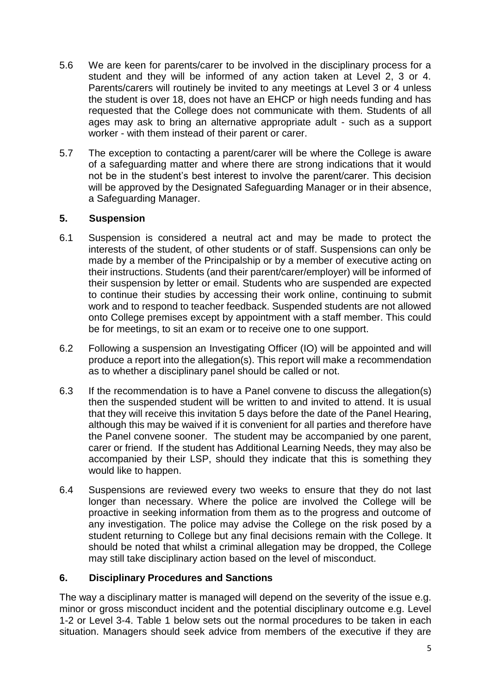- 5.6 We are keen for parents/carer to be involved in the disciplinary process for a student and they will be informed of any action taken at Level 2, 3 or 4. Parents/carers will routinely be invited to any meetings at Level 3 or 4 unless the student is over 18, does not have an EHCP or high needs funding and has requested that the College does not communicate with them. Students of all ages may ask to bring an alternative appropriate adult - such as a support worker - with them instead of their parent or carer.
- 5.7 The exception to contacting a parent/carer will be where the College is aware of a safeguarding matter and where there are strong indications that it would not be in the student's best interest to involve the parent/carer. This decision will be approved by the Designated Safeguarding Manager or in their absence, a Safeguarding Manager.

## **5. Suspension**

- 6.1 Suspension is considered a neutral act and may be made to protect the interests of the student, of other students or of staff. Suspensions can only be made by a member of the Principalship or by a member of executive acting on their instructions. Students (and their parent/carer/employer) will be informed of their suspension by letter or email. Students who are suspended are expected to continue their studies by accessing their work online, continuing to submit work and to respond to teacher feedback. Suspended students are not allowed onto College premises except by appointment with a staff member. This could be for meetings, to sit an exam or to receive one to one support.
- 6.2 Following a suspension an Investigating Officer (IO) will be appointed and will produce a report into the allegation(s). This report will make a recommendation as to whether a disciplinary panel should be called or not.
- 6.3 If the recommendation is to have a Panel convene to discuss the allegation(s) then the suspended student will be written to and invited to attend. It is usual that they will receive this invitation 5 days before the date of the Panel Hearing, although this may be waived if it is convenient for all parties and therefore have the Panel convene sooner. The student may be accompanied by one parent, carer or friend. If the student has Additional Learning Needs, they may also be accompanied by their LSP, should they indicate that this is something they would like to happen.
- 6.4 Suspensions are reviewed every two weeks to ensure that they do not last longer than necessary. Where the police are involved the College will be proactive in seeking information from them as to the progress and outcome of any investigation. The police may advise the College on the risk posed by a student returning to College but any final decisions remain with the College. It should be noted that whilst a criminal allegation may be dropped, the College may still take disciplinary action based on the level of misconduct.

## **6. Disciplinary Procedures and Sanctions**

The way a disciplinary matter is managed will depend on the severity of the issue e.g. minor or gross misconduct incident and the potential disciplinary outcome e.g. Level 1-2 or Level 3-4. Table 1 below sets out the normal procedures to be taken in each situation. Managers should seek advice from members of the executive if they are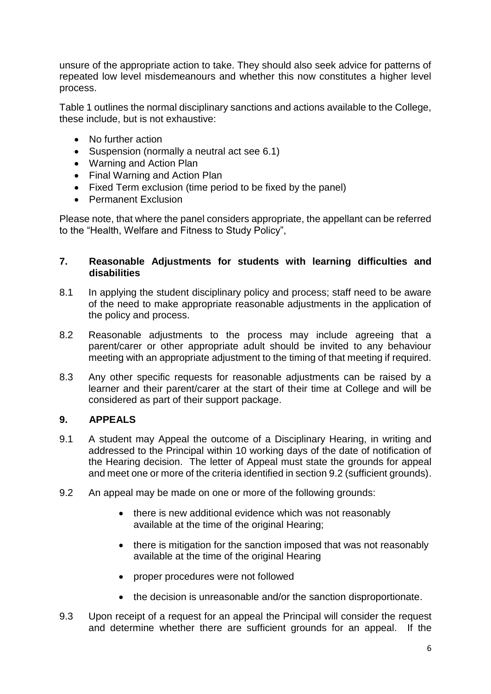unsure of the appropriate action to take. They should also seek advice for patterns of repeated low level misdemeanours and whether this now constitutes a higher level process.

Table 1 outlines the normal disciplinary sanctions and actions available to the College, these include, but is not exhaustive:

- No further action
- Suspension (normally a neutral act see 6.1)
- Warning and Action Plan
- Final Warning and Action Plan
- Fixed Term exclusion (time period to be fixed by the panel)
- Permanent Exclusion

Please note, that where the panel considers appropriate, the appellant can be referred to the "Health, Welfare and Fitness to Study Policy",

#### **7. Reasonable Adjustments for students with learning difficulties and disabilities**

- 8.1 In applying the student disciplinary policy and process; staff need to be aware of the need to make appropriate reasonable adjustments in the application of the policy and process.
- 8.2 Reasonable adjustments to the process may include agreeing that a parent/carer or other appropriate adult should be invited to any behaviour meeting with an appropriate adjustment to the timing of that meeting if required.
- 8.3 Any other specific requests for reasonable adjustments can be raised by a learner and their parent/carer at the start of their time at College and will be considered as part of their support package.

## **9. APPEALS**

- 9.1 A student may Appeal the outcome of a Disciplinary Hearing, in writing and addressed to the Principal within 10 working days of the date of notification of the Hearing decision. The letter of Appeal must state the grounds for appeal and meet one or more of the criteria identified in section 9.2 (sufficient grounds).
- 9.2 An appeal may be made on one or more of the following grounds:
	- there is new additional evidence which was not reasonably available at the time of the original Hearing;
	- there is mitigation for the sanction imposed that was not reasonably available at the time of the original Hearing
	- proper procedures were not followed
	- the decision is unreasonable and/or the sanction disproportionate.
- 9.3 Upon receipt of a request for an appeal the Principal will consider the request and determine whether there are sufficient grounds for an appeal. If the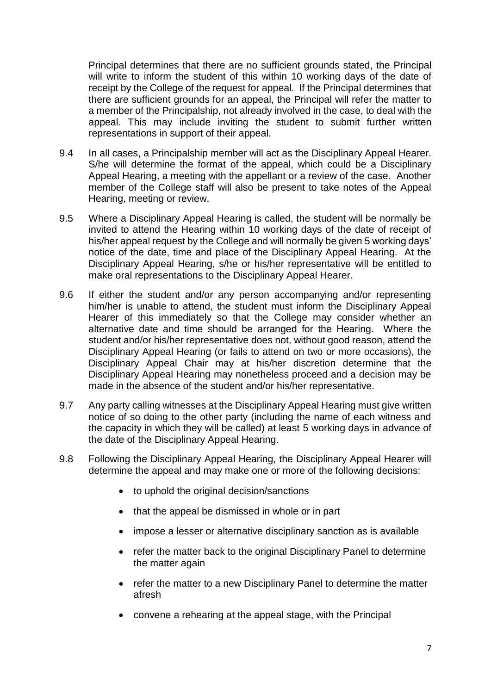Principal determines that there are no sufficient grounds stated, the Principal will write to inform the student of this within 10 working days of the date of receipt by the College of the request for appeal. If the Principal determines that there are sufficient grounds for an appeal, the Principal will refer the matter to a member of the Principalship, not already involved in the case, to deal with the appeal. This may include inviting the student to submit further written representations in support of their appeal.

- 9.4 In all cases, a Principalship member will act as the Disciplinary Appeal Hearer. S/he will determine the format of the appeal, which could be a Disciplinary Appeal Hearing, a meeting with the appellant or a review of the case. Another member of the College staff will also be present to take notes of the Appeal Hearing, meeting or review.
- 9.5 Where a Disciplinary Appeal Hearing is called, the student will be normally be invited to attend the Hearing within 10 working days of the date of receipt of his/her appeal request by the College and will normally be given 5 working days' notice of the date, time and place of the Disciplinary Appeal Hearing. At the Disciplinary Appeal Hearing, s/he or his/her representative will be entitled to make oral representations to the Disciplinary Appeal Hearer.
- 9.6 If either the student and/or any person accompanying and/or representing him/her is unable to attend, the student must inform the Disciplinary Appeal Hearer of this immediately so that the College may consider whether an alternative date and time should be arranged for the Hearing. Where the student and/or his/her representative does not, without good reason, attend the Disciplinary Appeal Hearing (or fails to attend on two or more occasions), the Disciplinary Appeal Chair may at his/her discretion determine that the Disciplinary Appeal Hearing may nonetheless proceed and a decision may be made in the absence of the student and/or his/her representative.
- 9.7 Any party calling witnesses at the Disciplinary Appeal Hearing must give written notice of so doing to the other party (including the name of each witness and the capacity in which they will be called) at least 5 working days in advance of the date of the Disciplinary Appeal Hearing.
- 9.8 Following the Disciplinary Appeal Hearing, the Disciplinary Appeal Hearer will determine the appeal and may make one or more of the following decisions:
	- to uphold the original decision/sanctions
	- that the appeal be dismissed in whole or in part
	- impose a lesser or alternative disciplinary sanction as is available
	- refer the matter back to the original Disciplinary Panel to determine the matter again
	- refer the matter to a new Disciplinary Panel to determine the matter afresh
	- convene a rehearing at the appeal stage, with the Principal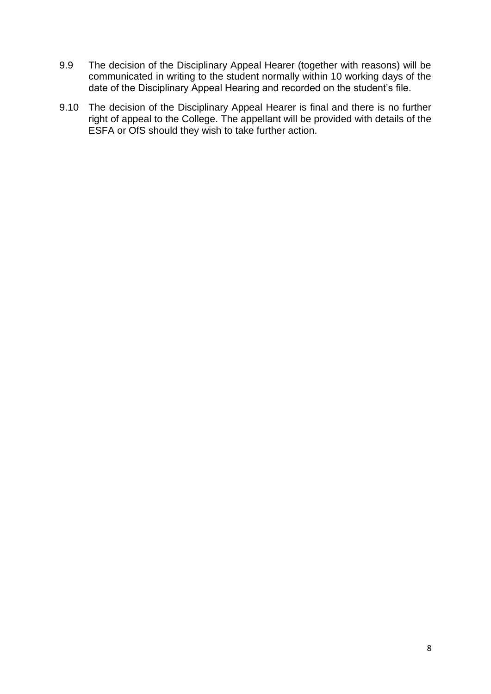- 9.9 The decision of the Disciplinary Appeal Hearer (together with reasons) will be communicated in writing to the student normally within 10 working days of the date of the Disciplinary Appeal Hearing and recorded on the student's file.
- 9.10 The decision of the Disciplinary Appeal Hearer is final and there is no further right of appeal to the College. The appellant will be provided with details of the ESFA or OfS should they wish to take further action.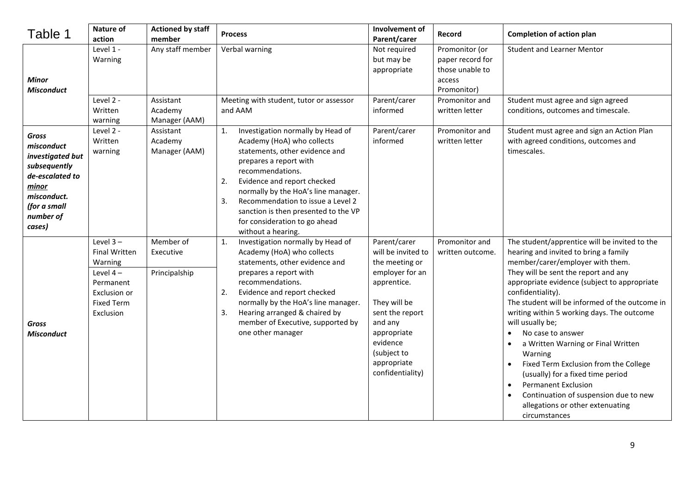| Table 1                                                                                                                                          | <b>Nature of</b><br>action                                                                                                  | <b>Actioned by staff</b><br>member      | <b>Process</b>                                                                                                                                                                                                                                                                                                                                                              | Involvement of<br>Parent/carer                                                                                                                                                                                    | Record                                                                         | <b>Completion of action plan</b>                                                                                                                                                                                                                                                                                                                                                                                                                                                                                                                                                                                                                                      |
|--------------------------------------------------------------------------------------------------------------------------------------------------|-----------------------------------------------------------------------------------------------------------------------------|-----------------------------------------|-----------------------------------------------------------------------------------------------------------------------------------------------------------------------------------------------------------------------------------------------------------------------------------------------------------------------------------------------------------------------------|-------------------------------------------------------------------------------------------------------------------------------------------------------------------------------------------------------------------|--------------------------------------------------------------------------------|-----------------------------------------------------------------------------------------------------------------------------------------------------------------------------------------------------------------------------------------------------------------------------------------------------------------------------------------------------------------------------------------------------------------------------------------------------------------------------------------------------------------------------------------------------------------------------------------------------------------------------------------------------------------------|
| Minor<br><b>Misconduct</b>                                                                                                                       | Level 1 -<br>Warning                                                                                                        | Any staff member                        | Verbal warning                                                                                                                                                                                                                                                                                                                                                              | Not required<br>but may be<br>appropriate                                                                                                                                                                         | Promonitor (or<br>paper record for<br>those unable to<br>access<br>Promonitor) | <b>Student and Learner Mentor</b>                                                                                                                                                                                                                                                                                                                                                                                                                                                                                                                                                                                                                                     |
|                                                                                                                                                  | Level 2 -<br>Written<br>warning                                                                                             | Assistant<br>Academy<br>Manager (AAM)   | Meeting with student, tutor or assessor<br>and AAM                                                                                                                                                                                                                                                                                                                          | Parent/carer<br>informed                                                                                                                                                                                          | Promonitor and<br>written letter                                               | Student must agree and sign agreed<br>conditions, outcomes and timescale.                                                                                                                                                                                                                                                                                                                                                                                                                                                                                                                                                                                             |
| <b>Gross</b><br>misconduct<br>investigated but<br>subsequently<br>de-escalated to<br>minor<br>misconduct.<br>(for a small<br>number of<br>cases) | Level 2 -<br>Written<br>warning                                                                                             | Assistant<br>Academy<br>Manager (AAM)   | 1.<br>Investigation normally by Head of<br>Academy (HoA) who collects<br>statements, other evidence and<br>prepares a report with<br>recommendations.<br>2.<br>Evidence and report checked<br>normally by the HoA's line manager.<br>Recommendation to issue a Level 2<br>3.<br>sanction is then presented to the VP<br>for consideration to go ahead<br>without a hearing. | Parent/carer<br>informed                                                                                                                                                                                          | Promonitor and<br>written letter                                               | Student must agree and sign an Action Plan<br>with agreed conditions, outcomes and<br>timescales.                                                                                                                                                                                                                                                                                                                                                                                                                                                                                                                                                                     |
| <b>Gross</b><br><b>Misconduct</b>                                                                                                                | Level $3 -$<br><b>Final Written</b><br>Warning<br>Level $4-$<br>Permanent<br>Exclusion or<br><b>Fixed Term</b><br>Exclusion | Member of<br>Executive<br>Principalship | Investigation normally by Head of<br>1.<br>Academy (HoA) who collects<br>statements, other evidence and<br>prepares a report with<br>recommendations.<br>Evidence and report checked<br>2.<br>normally by the HoA's line manager.<br>Hearing arranged & chaired by<br>3.<br>member of Executive, supported by<br>one other manager                                          | Parent/carer<br>will be invited to<br>the meeting or<br>employer for an<br>apprentice.<br>They will be<br>sent the report<br>and any<br>appropriate<br>evidence<br>(subject to<br>appropriate<br>confidentiality) | Promonitor and<br>written outcome.                                             | The student/apprentice will be invited to the<br>hearing and invited to bring a family<br>member/carer/employer with them.<br>They will be sent the report and any<br>appropriate evidence (subject to appropriate<br>confidentiality).<br>The student will be informed of the outcome in<br>writing within 5 working days. The outcome<br>will usually be;<br>No case to answer<br>$\bullet$<br>a Written Warning or Final Written<br>Warning<br>Fixed Term Exclusion from the College<br>(usually) for a fixed time period<br><b>Permanent Exclusion</b><br>$\bullet$<br>Continuation of suspension due to new<br>allegations or other extenuating<br>circumstances |